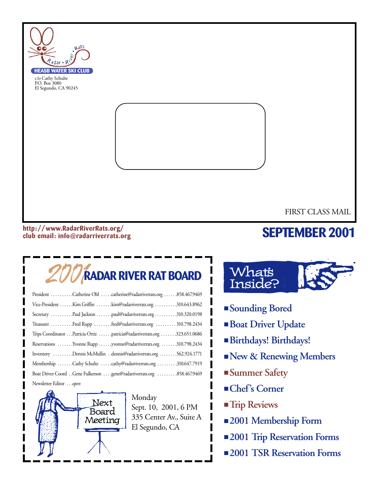

#### **http: //www.RadarRiverRats.org/ club email: info@radarriverrats.org**

## **SEPTEMBER 2001**

## 2001**RADAR RIVER RAT BOARD**

| President Catherine Ohl catherine@radarriverrats.org 858.467.9469         |
|---------------------------------------------------------------------------|
| Vice-President Kim Griffin kim@radarriverrats.org 310.643.8962            |
| Secretary Paul Jackson paul@radarriverrats.org310.320.0198                |
| Treasurer Fred Rupp fred@radarriverrats.org  310.798.2434                 |
| Trips Coordinator Patricia Ortiz patricia@radarriverrats.org 323.651.0686 |
| Reservations Yvonne Rupp yvonne@radarriverrats.org 310.798.2434           |
| Inventory Dennis McMullin dennis@radarriverrats.org 562.924.1771          |
| Membership Cathy Schulte cathy@radarriverrats.org 310.647.7919            |
|                                                                           |
| Newsletter Editor open                                                    |



Monday Sept. 10, 2001, 6 PM 335 Center Av., Suite A El Segundo, CA



- **Sounding Bored**
- **Boat Driver Update**
- **Birthdays! Birthdays!**
- ■**New & Renewing Members**
- **Summer Safety**
- **Chef's Corner**
- **Trip Reviews**
- **2001 Membership Form**
- **2001 Trip Reservation Forms**
- **2001 TSR Reservation Forms**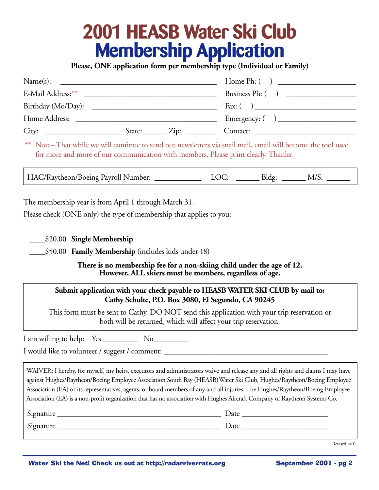## **2001 HEASB Water Ski Club Membership Application**

**Please, ONE application form per membership type (Individual or Family)**

| Name(s):<br><u> 2000 - Jan Barnett, fransk politiker (d. 1982)</u> |  |                                                           |
|--------------------------------------------------------------------|--|-----------------------------------------------------------|
|                                                                    |  | Business Ph: $( )$                                        |
|                                                                    |  | Fax: $\begin{pmatrix} 1 & 1 \\ 1 & 1 \end{pmatrix}$       |
|                                                                    |  | Emergency: $\begin{pmatrix} 1 & 1 \\ 1 & 1 \end{pmatrix}$ |
|                                                                    |  | Contact:                                                  |

\*\* Note– That while we will continue to send out newsletters via snail mail, email will become the tool used for more and more of our communication with members. Please print clearly. Thanks.

HAC/Raytheon/Boeing Payroll Number: LOC: \_\_\_\_\_\_\_\_ Bldg: \_\_\_\_\_\_ M/S:

The membership year is from April 1 through March 31.

Please check (ONE only) the type of membership that applies to you:

\_\_\_\_\$20.00 **Single Membership**

\_\_\_\_\$50.00 **Family Membership** (includes kids under 18)

**There is no membership fee for a non-skiing child under the age of 12. However, ALL skiers must be members, regardless of age.**

#### **Submit application with your check payable to HEASB WATER SKI CLUB by mail to: Cathy Schulte, P.O. Box 3080, El Segundo, CA 90245**

This form must be sent to Cathy. DO NOT send this application with your trip reservation or both will be returned, which will affect your trip reservation.

I am willing to help: Yes No

I would like to volunteer / suggest / comment:

WAIVER: I hereby, for myself, my heirs, executors and administrators waive and release any and all rights and claims I may have against Hughes/Raytheon/Boeing Employee Association South Bay (HEASB)Water Ski Club, Hughes/Raytheon/Boeing Employee Association (EA) or its representatives, agents, or board members of any and all injuries. The Hughes/Raytheon/Boeing Employee Association (EA) is a non-profit organization that has no association with Hughes Aircraft Company of Raytheon Systems Co.

| Signature | Date              |
|-----------|-------------------|
| Signature | $\mathcal{Q}$ ate |

Revised 4/01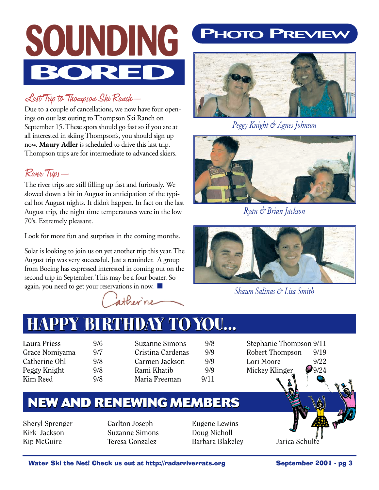

### Last Trip to Thompson Ski Ranch—

Due to a couple of cancellations, we now have four openings on our last outing to Thompson Ski Ranch on September 15. These spots should go fast so if you are at all interested in skiing Thompson's, you should sign up now. **Maury Adler** is scheduled to drive this last trip. Thompson trips are for intermediate to advanced skiers.

### River Trips—

The river trips are still filling up fast and furiously. We slowed down a bit in August in anticipation of the typical hot August nights. It didn't happen. In fact on the last August trip, the night time temperatures were in the low 70's. Extremely pleasant.

Look for more fun and surprises in the coming months.

Solar is looking to join us on yet another trip this year. The August trip was very successful. Just a reminder. A group from Boeing has expressed interested in coming out on the second trip in September. This may be a four boater. So again, you need to get your reservations in now.

ather ne

## **PHOTO PREVIEW**



*Peggy Knight & Agnes Johnson*



*Ryan & Brian Jackson*



*Shawn Salinas & Lisa Smith*

## **HAPPY BIRTHDAY TOYOU... HAPPY BIRTHDAY TOYOU...**

- Laura Priess 9/6 Grace Nomiyama 9/7 Catherine Ohl 9/8 Peggy Knight 9/8 Kim Reed 9/8
- Suzanne Simons 9/8 Cristina Cardenas 9/9 Carmen Jackson 9/9 Rami Khatib 9/9 Maria Freeman 9/11

Stephanie Thompson 9/11 Robert Thompson 9/19 Lori Moore 9/22 Mickey Klinger 9/24

## **NEW AND RENEWING MEMBERS**

Sheryl Sprenger Kirk Jackson Kip McGuire

Carlton Joseph Suzanne Simons Teresa Gonzalez

Eugene Lewins Doug Nicholl Barbara Blakeley Jarica Schulte

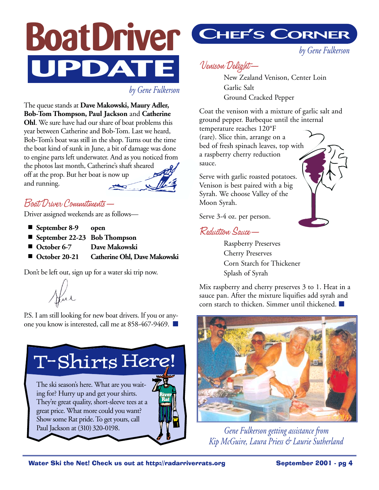

*by Gene Fulkerson*

The queue stands at **Dave Makowski, Maury Adler, Bob-Tom Thompson, Paul Jackson** and **Catherine Ohl**. We sure have had our share of boat problems this year between Catherine and Bob-Tom. Last we heard, Bob-Tom's boat was still in the shop. Turns out the time the boat kind of sunk in June, a bit of damage was done to engine parts left underwater. And as you noticed from the photos last month, Catherine's shaft sheared off at the prop. But her boat is now up and running.

#### Boat Driver Commitments—

Driver assigned weekends are as follows—

- **September 8-9** open
- **September 22-23** Bob Thompson
- **October 6-7** Dave Makowski
- **October 20-21 Catherine Ohl, Dave Makowski**

Don't be left out, sign up for a water ski trip now.

Hul

P.S. I am still looking for new boat drivers. If you or anyone you know is interested, call me at 858-467-9469. ■

T-Shirts Here!

The ski season's here. What are you waiting for? Hurry up and get your shirts. They're great quality, short-sleeve tees at a great price. What more could you want? Show some Rat pride. To get yours, call Paul Jackson at (310) 320-0198.



*by Gene Fulkerson*

### Venison Delight—

New Zealand Venison, Center Loin Garlic Salt Ground Cracked Pepper

Coat the venison with a mixture of garlic salt and ground pepper. Barbeque until the internal temperature reaches 120°F (rare). Slice thin, arrange on a bed of fresh spinach leaves, top with a raspberry cherry reduction sauce.

Serve with garlic roasted potatoes. Venison is best paired with a big Syrah. We choose Valley of the Moon Syrah.

Serve 3-4 oz. per person.

#### Reduction Sauce—

Raspberry Preserves Cherry Preserves Corn Starch for Thickener Splash of Syrah

Mix raspberry and cherry preserves 3 to 1. Heat in a sauce pan. After the mixture liquifies add syrah and corn starch to thicken. Simmer until thickened. ■



*Gene Fulkerson getting assistance from Kip McGuire, Laura Priess & Laurie Sutherland* 

**River Rat**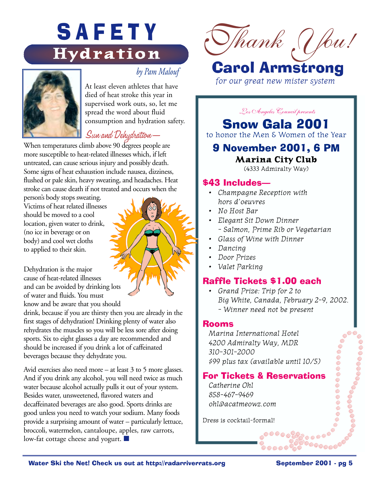## SAFETY **Hydration**



#### *by Pam Malouf*

At least eleven athletes that have died of heat stroke this year in supervised work outs, so, let me spread the word about fluid consumption and hydration safety.

#### Sun and Dehydration—

When temperatures climb above 90 degrees people are more susceptible to heat-related illnesses which, if left untreated, can cause serious injury and possibly death. Some signs of heat exhaustion include nausea, dizziness, flushed or pale skin, heavy sweating, and headaches. Heat stroke can cause death if not treated and occurs when the

person's body stops sweating. Victims of heat related illnesses should be moved to a cool location, given water to drink, (no ice in beverage or on body) and cool wet cloths to applied to their skin.

Dehydration is the major cause of heat-related illnesses and can be avoided by drinking lots of water and fluids. You must know and be aware that you should

drink, because if you are thirsty then you are already in the first stages of dehydration! Drinking plenty of water also rehydrates the muscles so you will be less sore after doing sports. Six to eight glasses a day are recommended and should be increased if you drink a lot of caffeinated beverages because they dehydrate you.

Avid exercises also need more – at least 3 to 5 more glasses. And if you drink any alcohol, you will need twice as much water because alcohol actually pulls it out of your system. Besides water, unsweetened, flavored waters and decaffeinated beverages are also good. Sports drinks are good unless you need to watch your sodium. Many foods provide a surprising amount of water – particularly lettuce, broccoli, watermelon, cantaloupe, apples, raw carrots, low-fat cottage cheese and yogurt. ■



## Carol Armstrong

*for our great new mister system*

*Los Angeles Council presents*

Snow Gala 2001

to honor the Men & Women of the Year

#### 9 November 2001, 6 PM **Marina City Club**

(4333 Admiralty Way)

#### \$43 Includes—

- *Champagne Reception with hors d'oeuvres*
- *No Host Bar*
- *Elegant Sit Down Dinner - Salmon, Prime Rib or Vegetarian*
- *Glass of Wine with Dinner*
- *Dancing*
- *Door Prizes*
- *Valet Parking*

#### Raffle Tickets \$1.00 each

*• Grand Prize: Trip for 2 to Big White, Canada, February 2-9, 2002. - Winner need not be present*

#### Rooms

*Marina International Hotel 4200 Admiralty Way, MDR 310-301-2000 \$99 plus tax (available until 10/5)*

#### For Tickets & Reservations

*Catherine Ohl 858-467-9469 ohl@acatmeowz.com*

Dress is cocktail-formal!

 $\circ$   $\circ$ 

െ©©©©<br>െ

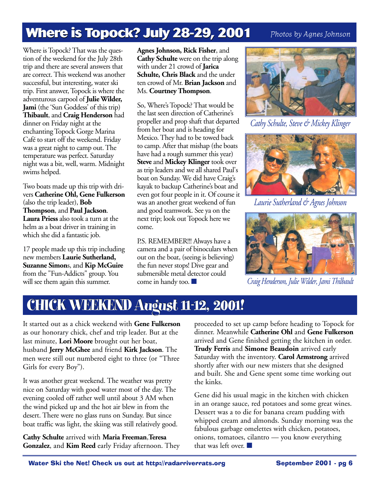## **Where is Topock? July 28-29, 2001**

*Photos by Agnes Johnson*

Where is Topock? That was the question of the weekend for the July 28th trip and there are several answers that are correct. This weekend was another successful, but interesting, water ski trip. First answer, Topock is where the adventurous carpool of **Julie Wilder, Jami** (the 'Sun Goddess' of this trip) **Thibault**, and **Craig Henderson** had dinner on Friday night at the enchanting Topock Gorge Marina Café to start off the weekend. Friday was a great night to camp out. The temperature was perfect. Saturday night was a bit, well, warm. Midnight swims helped.

Two boats made up this trip with drivers **Catherine Ohl, Gene Fulkerson** (also the trip leader), **Bob Thompson**, and **Paul Jackson**. **Laura Priess** also took a turn at the helm as a boat driver in training in which she did a fantastic job.

17 people made up this trip including new members **Laurie Sutherland, Suzanne Simon**s, and **Kip McGuire** from the "Fun-Addicts" group. You will see them again this summer.

**Agnes Johnson, Rick Fisher**, and **Cathy Schulte** were on the trip along with under 21 crowd of **Jarica Schulte, Chris Black** and the under ten crowd of Mr. **Brian Jackson** and Ms. **Courtney Thompson**.

So, Where's Topock? That would be the last seen direction of Catherine's propeller and prop shaft that departed from her boat and is heading for Mexico. They had to be towed back to camp. After that mishap (the boats have had a rough summer this year) **Steve** and **Mickey Klinger** took over as trip leaders and we all shared Paul's boat on Sunday. We did have Craig's kayak to backup Catherine's boat and even got four people in it. Of course it was an another great weekend of fun and good teamwork. See ya on the next trip; look out Topock here we come.

P.S. REMEMBER!!! Always have a camera and a pair of binoculars when out on the boat, (seeing is believing) the fun never stops! Dive gear and submersible metal detector could come in handy too. ■



*Cathy Schulte, Steve & Mickey Klinger*



*Laurie Sutherland & Agnes Johnson*



*Craig Henderson, Julie Wilder, Jami Thilbault*

## **CHICK WEEKEND August 11-12, 2001! CHICK August 11-12, 2001!**

It started out as a chick weekend with **Gene Fulkerson** as our honorary chick, chef and trip leader. But at the last minute, **Lori Moore** brought out her boat, husband **Jerry McGhee** and friend **Kirk Jackson**. The men were still out numbered eight to three (or "Three Girls for every Boy").

It was another great weekend. The weather was pretty nice on Saturday with good water most of the day. The evening cooled off rather well until about 3 AM when the wind picked up and the hot air blew in from the desert. There were no glass runs on Sunday. But since boat traffic was light, the skiing was still relatively good.

**Cathy Schulte** arrived with **Maria Freeman**,**Teresa Gonzalez**, and **Kim Reed** early Friday afternoon. They proceeded to set up camp before heading to Topock for dinner. Meanwhile **Catherine Ohl** and **Gene Fulkerson** arrived and Gene finished getting the kitchen in order. **Trudy Ferris** and **Simone Beaudoin** arrived early Saturday with the inventory. **Carol Armstrong** arrived shortly after with our new misters that she designed and built. She and Gene spent some time working out the kinks.

Gene did his usual magic in the kitchen with chicken in an orange sauce, red potatoes and some great wines. Dessert was a to die for banana cream pudding with whipped cream and almonds. Sunday morning was the fabulous garbage omelettes with chicken, potatoes, onions, tomatoes, cilantro — you know everything that was left over. ■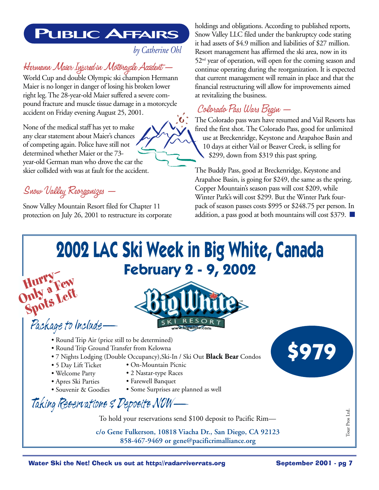## **PUBLIC AFFAIRS**

*by Catherine Ohl*

## Hermann Maier Injured in Motorcycle Accident —

World Cup and double Olympic ski champion Hermann Maier is no longer in danger of losing his broken lower right leg. The 28-year-old Maier suffered a severe compound fracture and muscle tissue damage in a motorcycle accident on Friday evening August 25, 2001.

None of the medical staff has yet to make any clear statement about Maier's chances of competing again. Police have still not determined whether Maier or the 73 year-old German man who drove the car the skier collided with was at fault for the accident.

Snow Valley Reorganizes —

**Spots Left**

Snow Valley Mountain Resort filed for Chapter 11 protection on July 26, 2001 to restructure its corporate holdings and obligations. According to published reports, Snow Valley LLC filed under the bankruptcy code stating it had assets of \$4.9 million and liabilities of \$27 million. Resort management has affirmed the ski area, now in its 52<sup>nd</sup> year of operation, will open for the coming season and continue operating during the reorganization. It is expected that current management will remain in place and that the financial restructuring will allow for improvements aimed at revitalizing the business.

## Colorado Pass Wars Begin —

The Colorado pass wars have resumed and Vail Resorts has fired the first shot. The Colorado Pass, good for unlimited use at Breckenridge, Keystone and Arapahoe Basin and 10 days at either Vail or Beaver Creek, is selling for \$299, down from \$319 this past spring.

The Buddy Pass, good at Breckenridge, Keystone and Arapahoe Basin, is going for \$249, the same as the spring. Copper Mountain's season pass will cost \$209, while Winter Park's will cost \$299. But the Winter Park fourpack of season passes costs \$995 or \$248.75 per person. In addition, a pass good at both mountains will cost \$379. ■

## **2002 LAC Ski Week in Big White, Canada February 2 - 9, 2002 Hurry— Only a Few**<br>Only a Few



- Package to Include—
	- Round Trip Air (price still to be determined)
	- Round Trip Ground Transfer from Kelowna
	- 7 Nights Lodging (Double Occupancy),Ski-In / Ski Out **Black Bear** Condos • On-Mountain Picnic
	- 5 Day Lift Ticket
	- Welcome Party
- 2 Nastar-type Races • Farewell Banquet
- Apres Ski Parties
- Souvenir & Goodies
- Some Surprises are planned as well

Taking Reservations & Deposits NOW—

To hold your reservations send \$100 deposit to Pacific Rim—

**c/o Gene Fulkerson, 10818 Viacha Dr., San Diego, CA 92123 858-467-9469 or gene@pacificrimalliance.org**

Tour Pros Ltd.

Tour Pros Ltd.

**\$979**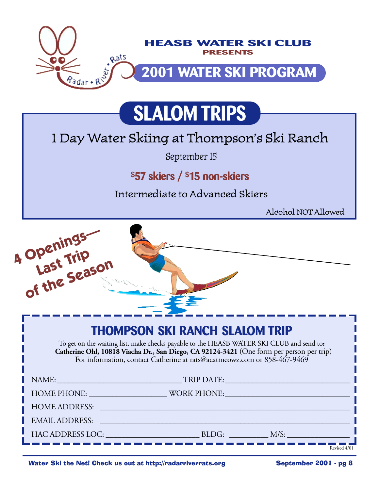

## **SLALOM TRIPS**

## 1 Day Water Skiing at Thompson's Ski Ranch

September 15

### **\$57 skiers / \$15 non-skiers**

Intermediate to Advanced Skiers

Alcohol NOT Allowed



Water Ski the Net! Check us out at http://radarriverrats.org September 2001 - pg 8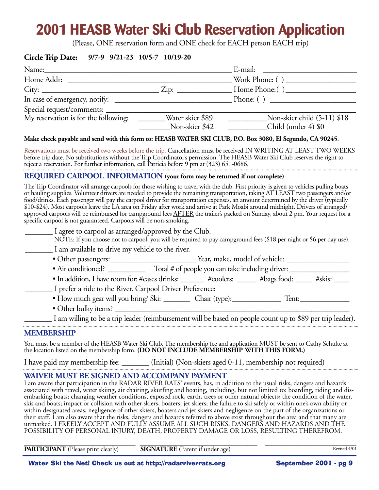## **2001 HEASB Water Ski Club Reservation Application**

(Please, ONE reservation form and ONE check for EACH person EACH trip)

#### **Circle Trip Date: 9/7-9 9/21-23 10/5-7 10/19-20**

| Name:                                |                  |                               |
|--------------------------------------|------------------|-------------------------------|
| Home Addr:                           |                  | Work Phone: $( )$             |
| City:                                |                  | Home Phone: ()                |
|                                      |                  | Phone: $\left( \quad \right)$ |
|                                      |                  |                               |
| My reservation is for the following: | Water skier \$89 | Non-skier child (5-11) \$18   |
|                                      | Non-skier \$42   | Child (under 4) \$0           |

#### **Make check payable and send with this form to: HEASB WATER SKI CLUB, P.O. Box 3080, El Segundo, CA 90245**.

Reservations must be received two weeks before the trip. Cancellation must be received IN WRITING AT LEAST TWO WEEKS before trip date. No substitutions without the Trip Coordinator's permission. The HEASB Water Ski Club reserves the right to reject a reservation. For further information, call Patricia before 9 pm at (323) 651-0686. 

#### **REQUIRED CARPOOL INFORMATION (your form may be returned if not complete)**

The Trip Coordinator will arrange carpools for those wishing to travel with the club. First priority is given to vehicles pulling boats or hauling supplies. Volunteer drivers are needed to provide the remaining transportation, taking AT LEAST two passengers and/or food/drinks. Each passenger will pay the carpool driver for transportation expenses, an amount determined by the driver (typically \$10-\$24). Most carpools leave the LA area on Friday after work and arrive at Park Moabi around midnight. Drivers of arranged/ approved carpools will be reimbursed for campground fees AFTER the trailer's packed on Sunday, about 2 pm. Your request for a specific carpool is not guaranteed. Carpools will be non-smoking.

| I agree to carpool as arranged/approved by the Club.                                                                 |  |                                                  |                 |        |
|----------------------------------------------------------------------------------------------------------------------|--|--------------------------------------------------|-----------------|--------|
| NOTE: If you choose not to carpool, you will be required to pay campground fees (\$18 per night or \$6 per day use). |  |                                                  |                 |        |
| I am available to drive my vehicle to the river.                                                                     |  |                                                  |                 |        |
| • Other passengers:                                                                                                  |  | Year, make, model of vehicle:                    |                 |        |
| • Air conditioned?                                                                                                   |  | Total # of people you can take including driver: |                 |        |
| • In addition, I have room for: #cases drinks:                                                                       |  | #coolers:                                        | $\#$ bags food: | #skis: |

\_\_\_\_\_\_\_ I prefer a ride to the River. Carpool Driver Preference:

- How much gear will you bring? Ski: \_\_\_\_\_\_\_ Chair (type):\_\_\_\_\_\_\_\_\_\_\_\_\_ Tent:\_\_\_\_\_\_\_\_\_\_\_\_\_
- Other bulky items? \_\_\_\_\_\_\_\_\_\_\_\_\_\_\_\_\_\_\_\_\_\_\_\_\_\_\_\_\_\_\_\_\_\_\_\_\_\_\_\_\_\_\_\_\_\_\_\_\_\_\_\_\_\_\_\_\_\_\_\_\_\_

I am willing to be a trip leader (reimbursement will be based on people count up to \$89 per trip leader).

#### **MEMBERSHIP**

You must be a member of the HEASB Water Ski Club. The membership fee and application MUST be sent to Cathy Schulte at the location listed on the membership form. **(DO NOT INCLUDE MEMBERSHIP WITH THIS FORM.)**

I have paid my membership fee: \_\_\_\_\_\_\_ (Initial) (Non-skiers aged 0-11, membership not required)

#### **WAIVER MUST BE SIGNED AND ACCOMPANY PAYMENT**

I am aware that participation in the RADAR RIVER RATS' events, has, in addition to the usual risks, dangers and hazards associated with travel, water skiing, air chairing, skurfing and boating, including, but not limited to: boarding, riding and disembarking boats; changing weather conditions, exposed rock, earth, trees or other natural objects; the condition of the water, skis and boats; impact or collision with other skiers, boaters, jet skiers; the failure to ski safely or within one's own ability or within designated areas; negligence of other skiers, boaters and jet skiers and negligence on the part of the organizations or their staff. I am also aware that the risks, dangers and hazards referred to above exist throughout the area and that many are unmarked. I FREELY ACCEPT AND FULLY ASSUME ALL SUCH RISKS, DANGERS AND HAZARDS AND THE POSSIBILITY OF PERSONAL INJURY, DEATH, PROPERTY DAMAGE OR LOSS, RESULTING THEREFROM.

| <b>PARTICIPANT</b> (Please print clearly) | <b>SIGNATURE</b> (Parent if under age) | Revised 4/01 |
|-------------------------------------------|----------------------------------------|--------------|